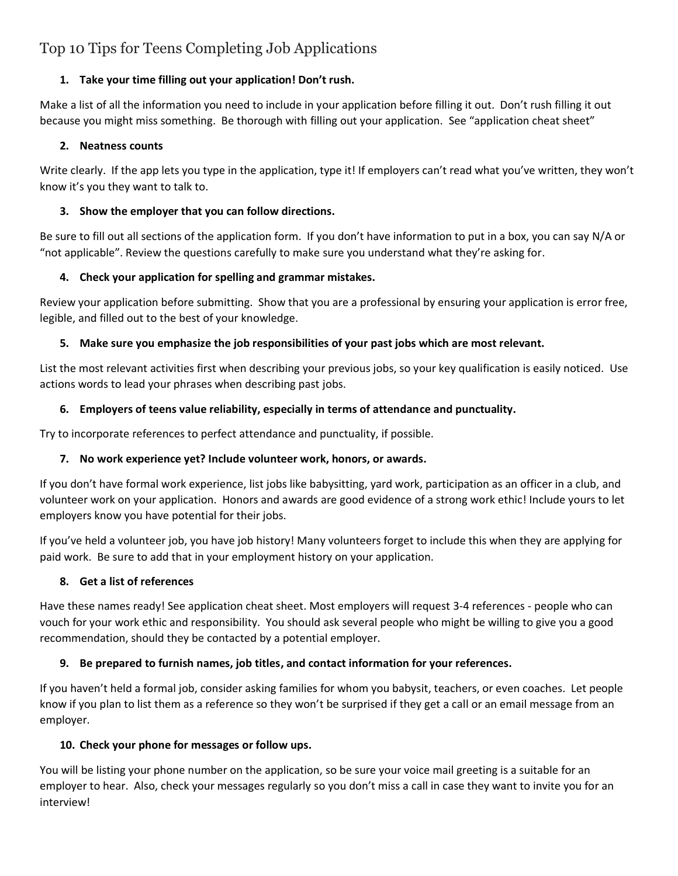# Top 10 Tips for Teens Completing Job Applications

# **1. Take your time filling out your application! Don't rush.**

Make a list of all the information you need to include in your application before filling it out. Don't rush filling it out because you might miss something. Be thorough with filling out your application. See "application cheat sheet"

## **2. Neatness counts**

Write clearly. If the app lets you type in the application, type it! If employers can't read what you've written, they won't know it's you they want to talk to.

# **3. Show the employer that you can follow directions.**

Be sure to fill out all sections of the application form. If you don't have information to put in a box, you can say N/A or "not applicable". Review the questions carefully to make sure you understand what they're asking for.

# **4. Check your application for spelling and grammar mistakes.**

Review your application before submitting. Show that you are a professional by ensuring your application is error free, legible, and filled out to the best of your knowledge.

# **5. Make sure you emphasize the job responsibilities of your past jobs which are most relevant.**

List the most relevant activities first when describing your previous jobs, so your key qualification is easily noticed. Use actions words to lead your phrases when describing past jobs.

# **6. Employers of teens value reliability, especially in terms of attendance and punctuality.**

Try to incorporate references to perfect attendance and punctuality, if possible.

# **7. No work experience yet? Include volunteer work, honors, or awards.**

If you don't have formal work experience, list jobs like babysitting, yard work, participation as an officer in a club, and volunteer work on your application. Honors and awards are good evidence of a strong work ethic! Include yours to let employers know you have potential for their jobs.

If you've held a volunteer job, you have job history! Many volunteers forget to include this when they are applying for paid work. Be sure to add that in your employment history on your application.

## **8. Get a list of references**

Have these names ready! See application cheat sheet. Most employers will request 3-4 references - people who can vouch for your work ethic and responsibility. You should ask several people who might be willing to give you a good recommendation, should they be contacted by a potential employer.

## **9. Be prepared to furnish names, job titles, and contact information for your references.**

If you haven't held a formal job, consider asking families for whom you babysit, teachers, or even coaches. Let people know if you plan to list them as a reference so they won't be surprised if they get a call or an email message from an employer.

## **10. Check your phone for messages or follow ups.**

You will be listing your phone number on the application, so be sure your voice mail greeting is a suitable for an employer to hear. Also, check your messages regularly so you don't miss a call in case they want to invite you for an interview!